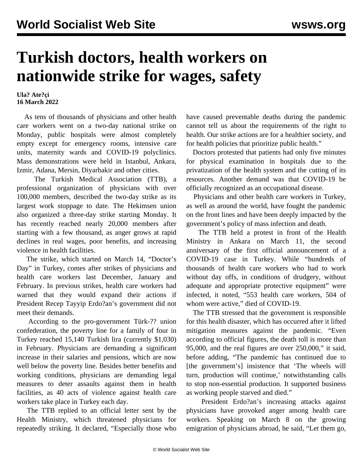## **Turkish doctors, health workers on nationwide strike for wages, safety**

## **Ula? Ate?çi 16 March 2022**

 As tens of thousands of physicians and other health care workers went on a two-day national strike on Monday, public hospitals were almost completely empty except for emergency rooms, intensive care units, maternity wards and COVID-19 polyclinics. Mass demonstrations were held in Istanbul, Ankara, Izmir, Adana, Mersin, Diyarbakir and other cities.

 The Turkish Medical Association (TTB), a professional organization of physicians with over 100,000 members, described the two-day strike as its largest work stoppage to date. The Hekimsen union also organized a three-day strike starting Monday. It has recently reached nearly 20,000 members after starting with a few thousand, as anger grows at rapid declines in real wages, poor benefits, and increasing violence in health facilities.

 The strike, which started on March 14, "Doctor's Day" in Turkey, comes after strikes of physicians and health care workers last December, January and February. In previous strikes, health care workers had warned that they would expand their actions if President Recep Tayyip Erdo?an's government did not meet their demands.

 According to the pro-government Türk-?? union confederation, the poverty line for a family of four in Turkey reached 15,140 Turkish lira (currently \$1,030) in February. Physicians are demanding a significant increase in their salaries and pensions, which are now well below the poverty line. Besides better benefits and working conditions, physicians are demanding legal measures to deter assaults against them in health facilities, as 40 acts of violence against health care workers take place in Turkey each day.

 The TTB replied to an official letter sent by the Health Ministry, which threatened physicians for repeatedly striking. It declared, "Especially those who have caused preventable deaths during the pandemic cannot tell us about the requirements of the right to health. Our strike actions are for a healthier society, and for health policies that prioritize public health."

 Doctors protested that patients had only five minutes for physical examination in hospitals due to the privatization of the health system and the cutting of its resources. Another demand was that COVID-19 be officially recognized as an occupational disease.

 Physicians and other health care workers in Turkey, as well as around the world, have fought the pandemic on the front lines and have been deeply impacted by the government's policy of mass infection and death.

 The TTB held a protest in front of the Health Ministry in Ankara on March 11, the second anniversary of the first official announcement of a COVID-19 case in Turkey. While "hundreds of thousands of health care workers who had to work without day offs, in conditions of drudgery, without adequate and appropriate protective equipment" were infected, it noted, "553 health care workers, 504 of whom were active," died of COVID-19.

 The TTB stressed that the government is responsible for this health disaster, which has occurred after it lifted mitigation measures against the pandemic. "Even according to official figures, the death toll is more than 95,000, and the real figures are over 250,000," it said, before adding, "The pandemic has continued due to [the government's] insistence that 'The wheels will turn, production will continue,' notwithstanding calls to stop non-essential production. It supported business as working people starved and died."

 President Erdo?an's increasing attacks against physicians have provoked anger among health care workers. Speaking on March 8 on the growing emigration of physicians abroad, he said, "Let them go,